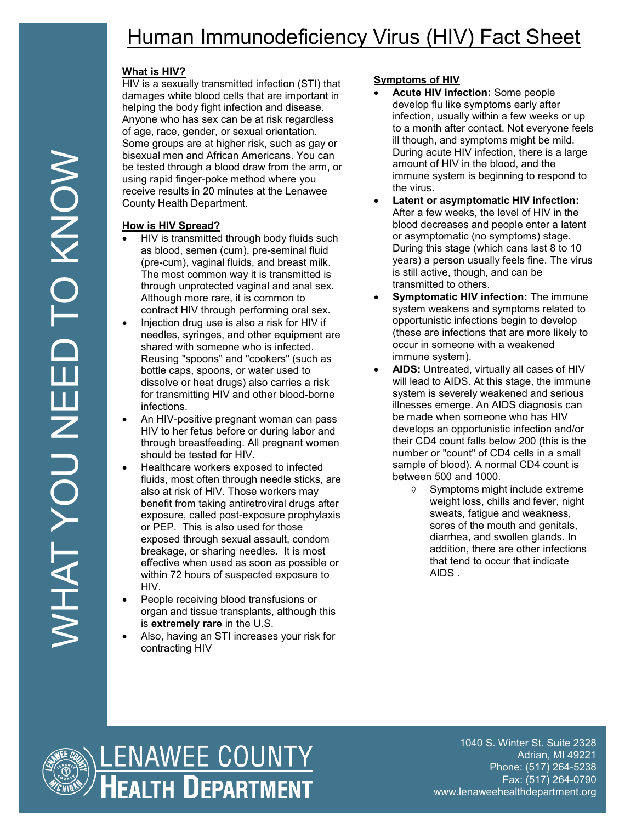# Human Immunodeficiency Virus (HIV) Fact Sheet

## **What is HIV?**

HIV is a sexually transmitted infection (STI) that damages white blood cells that are important in helping the body fight infection and disease. Anyone who has sex can be at risk regardless of age, race, gender, or sexual orientation. Some groups are at higher risk, such as gay or bisexual men and African Americans. You can be tested through a blood draw from the arm, or using rapid finger-poke method where you receive results in 20 minutes at the Lenawee County Health Department.

### **How is HIV Spread?**

- HIV is transmitted through body fluids such as blood, semen (cum), pre-seminal fluid (pre-cum), vaginal fluids, and breast milk. The most common way it is transmitted is through unprotected vaginal and anal sex. Although more rare, it is common to contract HIV through performing oral sex.
- Injection drug use is also a risk for HIV if needles, syringes, and other equipment are shared with someone who is infected. Reusing "spoons" and "cookers" (such as bottle caps, spoons, or water used to dissolve or heat drugs) also carries a risk for transmitting HIV and other blood-borne infections.
- An HIV-positive pregnant woman can pass HIV to her fetus before or during labor and through breastfeeding. All pregnant women should be tested for HIV.
- Healthcare workers exposed to infected fluids, most often through needle sticks, are also at risk of HIV. Those workers may benefit from taking antiretroviral drugs after exposure, called post-exposure prophylaxis or PEP. This is also used for those exposed through sexual assault, condom breakage, or sharing needles. It is most effective when used as soon as possible or within 72 hours of suspected exposure to HIV.
- People receiving blood transfusions or organ and tissue transplants, although this is **extremely rare** in the U.S.
- Also, having an STI increases your risk for contracting HIV

## **Symptoms of HIV**

- **Acute HIV infection:** Some people develop flu like symptoms early after infection, usually within a few weeks or up to a month after contact. Not everyone feels ill though, and symptoms might be mild. During acute HIV infection, there is a large amount of HIV in the blood, and the immune system is beginning to respond to the virus.
- **Latent or asymptomatic HIV infection:** After a few weeks, the level of HIV in the blood decreases and people enter a latent or asymptomatic (no symptoms) stage. During this stage (which cans last 8 to 10 years) a person usually feels fine. The virus is still active, though, and can be transmitted to others.
- **Symptomatic HIV infection:** The immune system weakens and symptoms related to opportunistic infections begin to develop (these are infections that are more likely to occur in someone with a weakened immune system).
- **AIDS:** Untreated, virtually all cases of HIV will lead to AIDS. At this stage, the immune system is severely weakened and serious illnesses emerge. An AIDS diagnosis can be made when someone who has HIV develops an opportunistic infection and/or their CD4 count falls below 200 (this is the number or "count" of CD4 cells in a small sample of blood). A normal CD4 count is between 500 and 1000.
	- $\Diamond$  Symptoms might include extreme weight loss, chills and fever, night sweats, fatigue and weakness, sores of the mouth and genitals, diarrhea, and swollen glands. In addition, there are other infections that tend to occur that indicate AIDS .



1040 S. Winter St. Suite 2328 Adrian, MI 49221 Phone: (517) 264-5238 Fax: (517) 264-0790 www.lenaweehealthdepartment.org